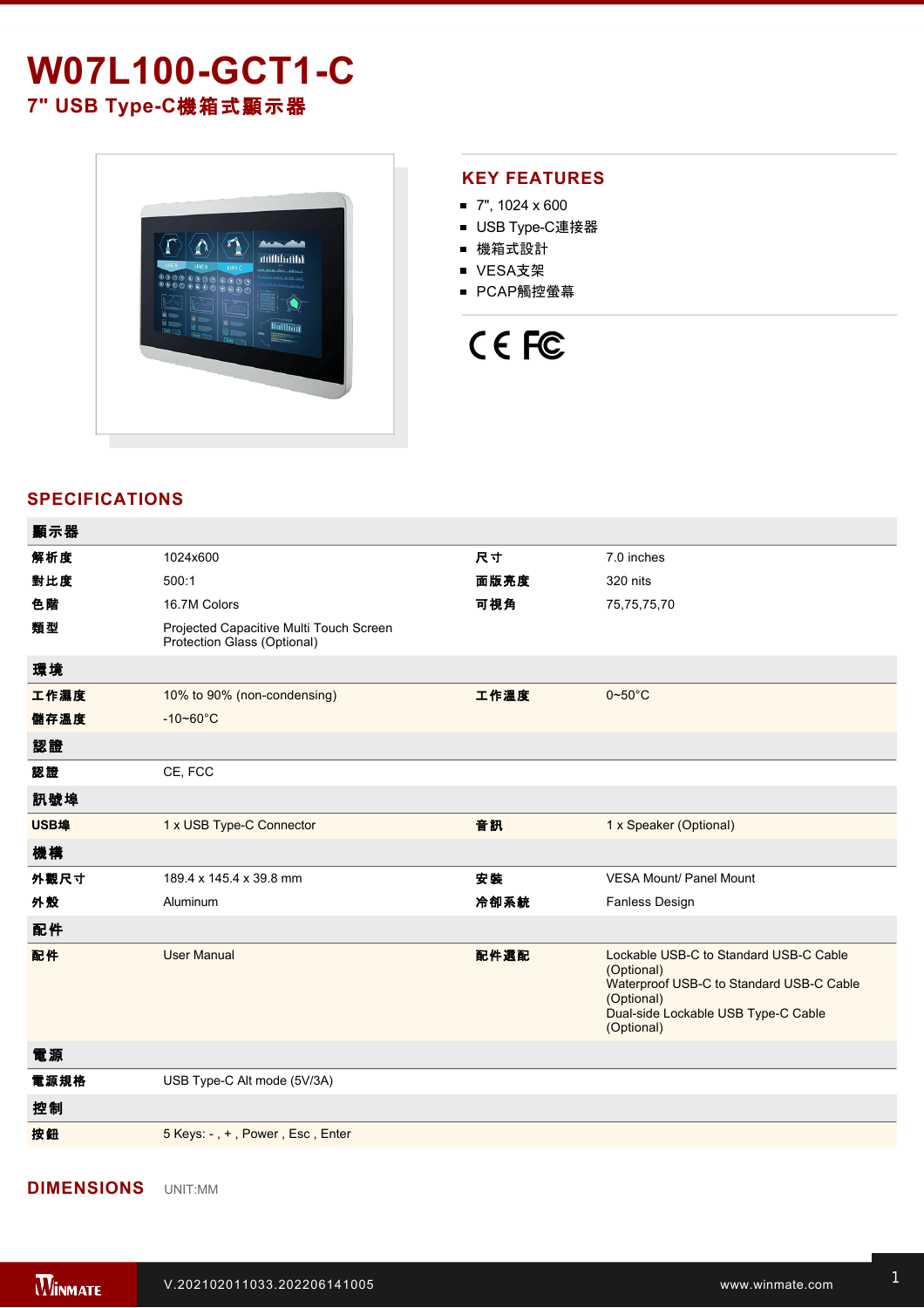# **W07L100-GCT1-C**

**7" USB TypeC**機箱式顯示器



#### **KEY FEATURES**

- 7", 1024 x 600
- USB Type-C連接器
- 機箱式設計
- VESA支架
- PCAP觸控螢幕

## CE FC

### **SPECIFICATIONS**

 $=$ 

| 顯示器         |                                                                        |      |                                                                                                                                                                     |
|-------------|------------------------------------------------------------------------|------|---------------------------------------------------------------------------------------------------------------------------------------------------------------------|
| 解析度         | 1024x600                                                               | 尺寸   | 7.0 inches                                                                                                                                                          |
| 對比度         | 500:1                                                                  | 面版亮度 | 320 nits                                                                                                                                                            |
| 色階          | 16.7M Colors                                                           | 可視角  | 75,75,75,70                                                                                                                                                         |
| 類型          | Projected Capacitive Multi Touch Screen<br>Protection Glass (Optional) |      |                                                                                                                                                                     |
| 環境          |                                                                        |      |                                                                                                                                                                     |
| 工作濕度        | 10% to 90% (non-condensing)                                            | 工作溫度 | $0\negthinspace\negthinspace\negthinspace 50^{\circ}\mathrm{C}$                                                                                                     |
| 儲存溫度        | $-10 - 60^{\circ}$ C                                                   |      |                                                                                                                                                                     |
| 認證          |                                                                        |      |                                                                                                                                                                     |
| 認證          | CE, FCC                                                                |      |                                                                                                                                                                     |
| 訊號埠         |                                                                        |      |                                                                                                                                                                     |
| <b>USB埠</b> | 1 x USB Type-C Connector                                               | 音訊   | 1 x Speaker (Optional)                                                                                                                                              |
| 機構          |                                                                        |      |                                                                                                                                                                     |
| 外觀尺寸        | 189.4 x 145.4 x 39.8 mm                                                | 安装   | <b>VESA Mount/ Panel Mount</b>                                                                                                                                      |
| 外殼          | Aluminum                                                               | 冷卻系統 | Fanless Design                                                                                                                                                      |
| 配件          |                                                                        |      |                                                                                                                                                                     |
| 配件          | <b>User Manual</b>                                                     | 配件選配 | Lockable USB-C to Standard USB-C Cable<br>(Optional)<br>Waterproof USB-C to Standard USB-C Cable<br>(Optional)<br>Dual-side Lockable USB Type-C Cable<br>(Optional) |
| 電源          |                                                                        |      |                                                                                                                                                                     |
| 電源規格        | USB Type-C Alt mode (5V/3A)                                            |      |                                                                                                                                                                     |
| 控制          |                                                                        |      |                                                                                                                                                                     |

按鈕 5 Keys: , + , Power , Esc , Enter

**DIMENSIONS**  UNIT:MM